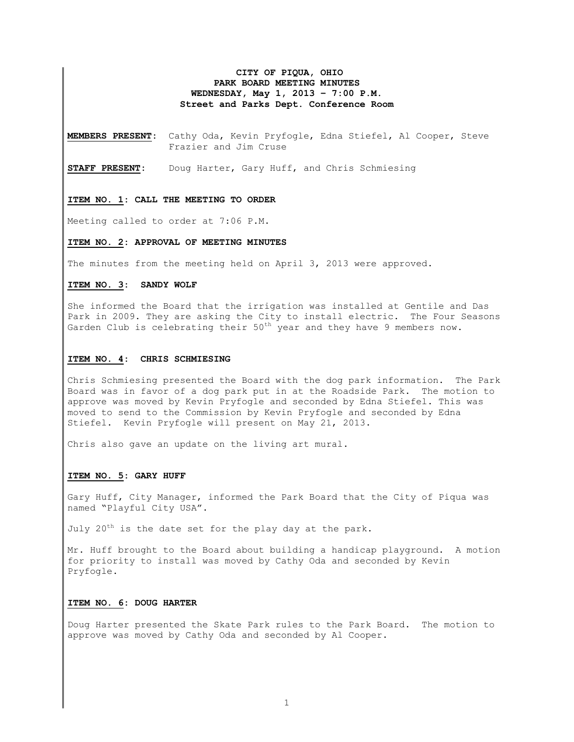## **CITY OF PIQUA, OHIO PARK BOARD MEETING MINUTES WEDNESDAY, May 1, 2013 – 7:00 P.M. Street and Parks Dept. Conference Room**

**MEMBERS PRESENT:** Cathy Oda, Kevin Pryfogle, Edna Stiefel, Al Cooper, Steve Frazier and Jim Cruse

**STAFF PRESENT:** Doug Harter, Gary Huff, and Chris Schmiesing

#### **ITEM NO. 1: CALL THE MEETING TO ORDER**

Meeting called to order at 7:06 P.M.

#### **ITEM NO. 2: APPROVAL OF MEETING MINUTES**

The minutes from the meeting held on April 3, 2013 were approved.

## **ITEM NO. 3: SANDY WOLF**

She informed the Board that the irrigation was installed at Gentile and Das Park in 2009. They are asking the City to install electric. The Four Seasons Garden Club is celebrating their  $50^{th}$  year and they have 9 members now.

#### **ITEM NO. 4: CHRIS SCHMIESING**

Chris Schmiesing presented the Board with the dog park information. The Park Board was in favor of a dog park put in at the Roadside Park. The motion to approve was moved by Kevin Pryfogle and seconded by Edna Stiefel. This was moved to send to the Commission by Kevin Pryfogle and seconded by Edna Stiefel. Kevin Pryfogle will present on May 21, 2013.

Chris also gave an update on the living art mural.

#### **ITEM NO. 5: GARY HUFF**

Gary Huff, City Manager, informed the Park Board that the City of Piqua was named "Playful City USA".

July  $20^{th}$  is the date set for the play day at the park.

Mr. Huff brought to the Board about building a handicap playground. A motion for priority to install was moved by Cathy Oda and seconded by Kevin Pryfogle.

#### **ITEM NO. 6: DOUG HARTER**

Doug Harter presented the Skate Park rules to the Park Board. The motion to approve was moved by Cathy Oda and seconded by Al Cooper.